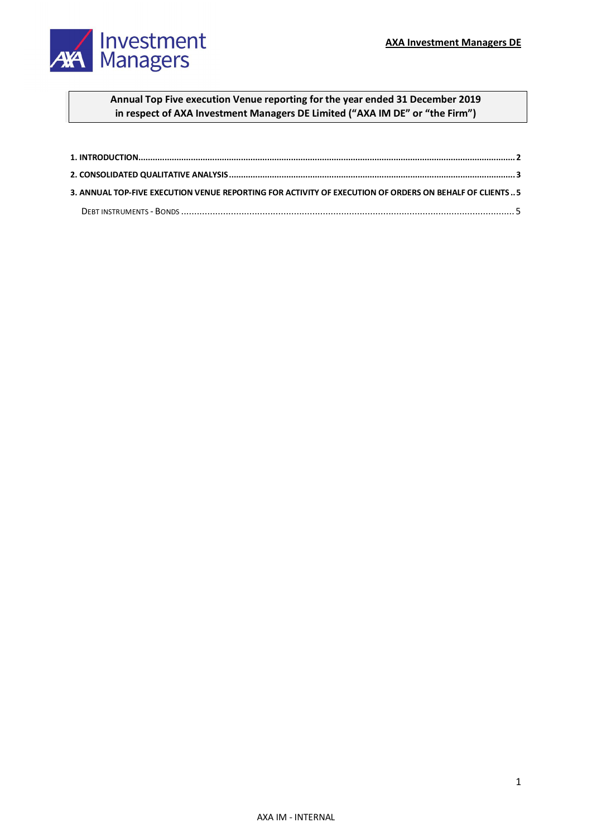

## **Annual Top Five execution Venue reporting for the year ended 31 December 2019 in respect of AXA Investment Managers DE Limited ("AXA IM DE" or "the Firm")**

| 3. ANNUAL TOP-FIVE EXECUTION VENUE REPORTING FOR ACTIVITY OF EXECUTION OF ORDERS ON BEHALF OF CLIENTS 5 |  |
|---------------------------------------------------------------------------------------------------------|--|
|                                                                                                         |  |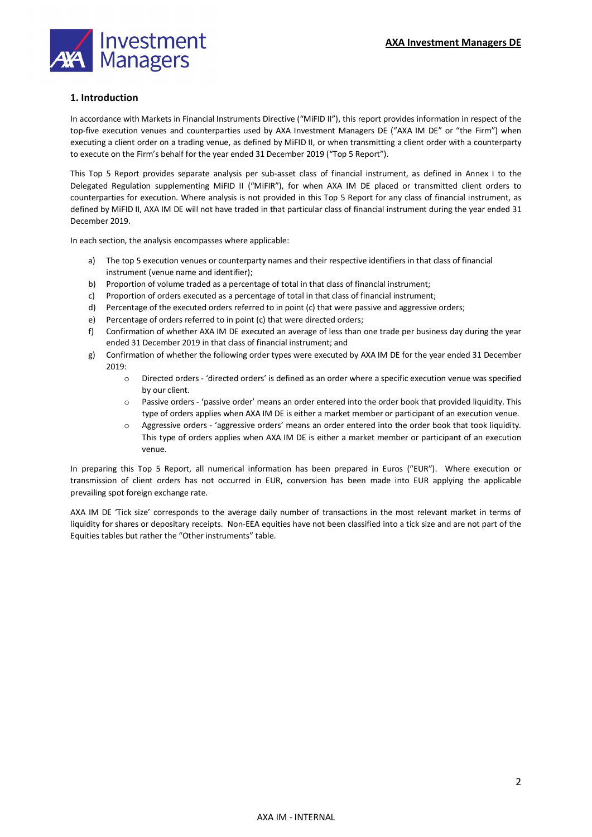

## <span id="page-1-0"></span>**1. Introduction**

In accordance with Markets in Financial Instruments Directive ("MiFID II"), this report provides information in respect of the top-five execution venues and counterparties used by AXA Investment Managers DE ("AXA IM DE" or "the Firm") when executing a client order on a trading venue, as defined by MiFID II, or when transmitting a client order with a counterparty to execute on the Firm's behalf for the year ended 31 December 2019 ("Top 5 Report").

This Top 5 Report provides separate analysis per sub-asset class of financial instrument, as defined in Annex I to the Delegated Regulation supplementing MiFID II ("MiFIR"), for when AXA IM DE placed or transmitted client orders to counterparties for execution. Where analysis is not provided in this Top 5 Report for any class of financial instrument, as defined by MiFID II, AXA IM DE will not have traded in that particular class of financial instrument during the year ended 31 December 2019.

In each section, the analysis encompasses where applicable:

- a) The top 5 execution venues or counterparty names and their respective identifiers in that class of financial instrument (venue name and identifier);
- b) Proportion of volume traded as a percentage of total in that class of financial instrument;
- c) Proportion of orders executed as a percentage of total in that class of financial instrument;
- d) Percentage of the executed orders referred to in point (c) that were passive and aggressive orders;
- e) Percentage of orders referred to in point (c) that were directed orders;
- f) Confirmation of whether AXA IM DE executed an average of less than one trade per business day during the year ended 31 December 2019 in that class of financial instrument; and
- g) Confirmation of whether the following order types were executed by AXA IM DE for the year ended 31 December 2019:
	- o Directed orders 'directed orders' is defined as an order where a specific execution venue was specified by our client.
	- $\circ$  Passive orders 'passive order' means an order entered into the order book that provided liquidity. This type of orders applies when AXA IM DE is either a market member or participant of an execution venue.
	- o Aggressive orders 'aggressive orders' means an order entered into the order book that took liquidity. This type of orders applies when AXA IM DE is either a market member or participant of an execution venue.

In preparing this Top 5 Report, all numerical information has been prepared in Euros ("EUR"). Where execution or transmission of client orders has not occurred in EUR, conversion has been made into EUR applying the applicable prevailing spot foreign exchange rate.

AXA IM DE 'Tick size' corresponds to the average daily number of transactions in the most relevant market in terms of liquidity for shares or depositary receipts. Non-EEA equities have not been classified into a tick size and are not part of the Equities tables but rather the "Other instruments" table.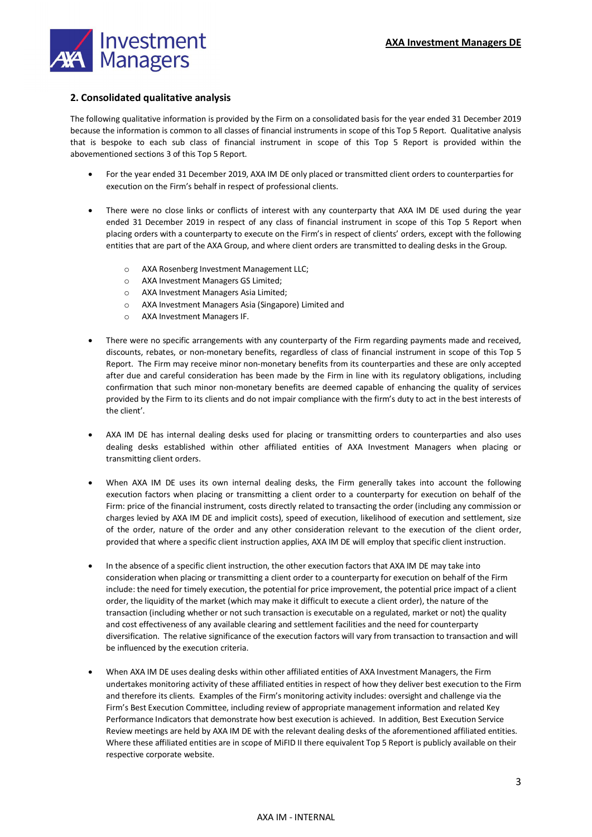

## <span id="page-2-0"></span>**2. Consolidated qualitative analysis**

The following qualitative information is provided by the Firm on a consolidated basis for the year ended 31 December 2019 because the information is common to all classes of financial instruments in scope of this Top 5 Report. Qualitative analysis that is bespoke to each sub class of financial instrument in scope of this Top 5 Report is provided within the abovementioned sections 3 of this Top 5 Report.

- For the year ended 31 December 2019, AXA IM DE only placed or transmitted client orders to counterparties for execution on the Firm's behalf in respect of professional clients.
- There were no close links or conflicts of interest with any counterparty that AXA IM DE used during the year ended 31 December 2019 in respect of any class of financial instrument in scope of this Top 5 Report when placing orders with a counterparty to execute on the Firm's in respect of clients' orders, except with the following entities that are part of the AXA Group, and where client orders are transmitted to dealing desks in the Group.
	- o AXA Rosenberg Investment Management LLC;
	- o AXA Investment Managers GS Limited;
	- o AXA Investment Managers Asia Limited;
	- o AXA Investment Managers Asia (Singapore) Limited and
	- o AXA Investment Managers IF.
- There were no specific arrangements with any counterparty of the Firm regarding payments made and received, discounts, rebates, or non-monetary benefits, regardless of class of financial instrument in scope of this Top 5 Report. The Firm may receive minor non-monetary benefits from its counterparties and these are only accepted after due and careful consideration has been made by the Firm in line with its regulatory obligations, including confirmation that such minor non-monetary benefits are deemed capable of enhancing the quality of services provided by the Firm to its clients and do not impair compliance with the firm's duty to act in the best interests of the client'.
- AXA IM DE has internal dealing desks used for placing or transmitting orders to counterparties and also uses dealing desks established within other affiliated entities of AXA Investment Managers when placing or transmitting client orders.
- When AXA IM DE uses its own internal dealing desks, the Firm generally takes into account the following execution factors when placing or transmitting a client order to a counterparty for execution on behalf of the Firm: price of the financial instrument, costs directly related to transacting the order (including any commission or charges levied by AXA IM DE and implicit costs), speed of execution, likelihood of execution and settlement, size of the order, nature of the order and any other consideration relevant to the execution of the client order, provided that where a specific client instruction applies, AXA IM DE will employ that specific client instruction.
- In the absence of a specific client instruction, the other execution factors that AXA IM DE may take into consideration when placing or transmitting a client order to a counterparty for execution on behalf of the Firm include: the need for timely execution, the potential for price improvement, the potential price impact of a client order, the liquidity of the market (which may make it difficult to execute a client order), the nature of the transaction (including whether or not such transaction is executable on a regulated, market or not) the quality and cost effectiveness of any available clearing and settlement facilities and the need for counterparty diversification. The relative significance of the execution factors will vary from transaction to transaction and will be influenced by the execution criteria.
- When AXA IM DE uses dealing desks within other affiliated entities of AXA Investment Managers, the Firm undertakes monitoring activity of these affiliated entities in respect of how they deliver best execution to the Firm and therefore its clients. Examples of the Firm's monitoring activity includes: oversight and challenge via the Firm's Best Execution Committee, including review of appropriate management information and related Key Performance Indicators that demonstrate how best execution is achieved. In addition, Best Execution Service Review meetings are held by AXA IM DE with the relevant dealing desks of the aforementioned affiliated entities. Where these affiliated entities are in scope of MiFID II there equivalent Top 5 Report is publicly available on their respective corporate website.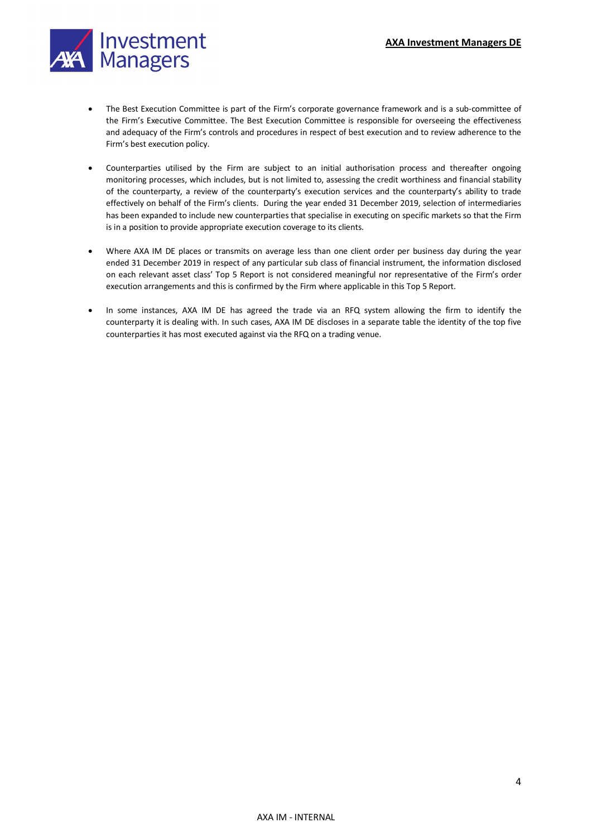

- The Best Execution Committee is part of the Firm's corporate governance framework and is a sub-committee of the Firm's Executive Committee. The Best Execution Committee is responsible for overseeing the effectiveness and adequacy of the Firm's controls and procedures in respect of best execution and to review adherence to the Firm's best execution policy.
- Counterparties utilised by the Firm are subject to an initial authorisation process and thereafter ongoing monitoring processes, which includes, but is not limited to, assessing the credit worthiness and financial stability of the counterparty, a review of the counterparty's execution services and the counterparty's ability to trade effectively on behalf of the Firm's clients. During the year ended 31 December 2019, selection of intermediaries has been expanded to include new counterparties that specialise in executing on specific markets so that the Firm is in a position to provide appropriate execution coverage to its clients.
- Where AXA IM DE places or transmits on average less than one client order per business day during the year ended 31 December 2019 in respect of any particular sub class of financial instrument, the information disclosed on each relevant asset class' Top 5 Report is not considered meaningful nor representative of the Firm's order execution arrangements and this is confirmed by the Firm where applicable in this Top 5 Report.
- In some instances, AXA IM DE has agreed the trade via an RFQ system allowing the firm to identify the counterparty it is dealing with. In such cases, AXA IM DE discloses in a separate table the identity of the top five counterparties it has most executed against via the RFQ on a trading venue.